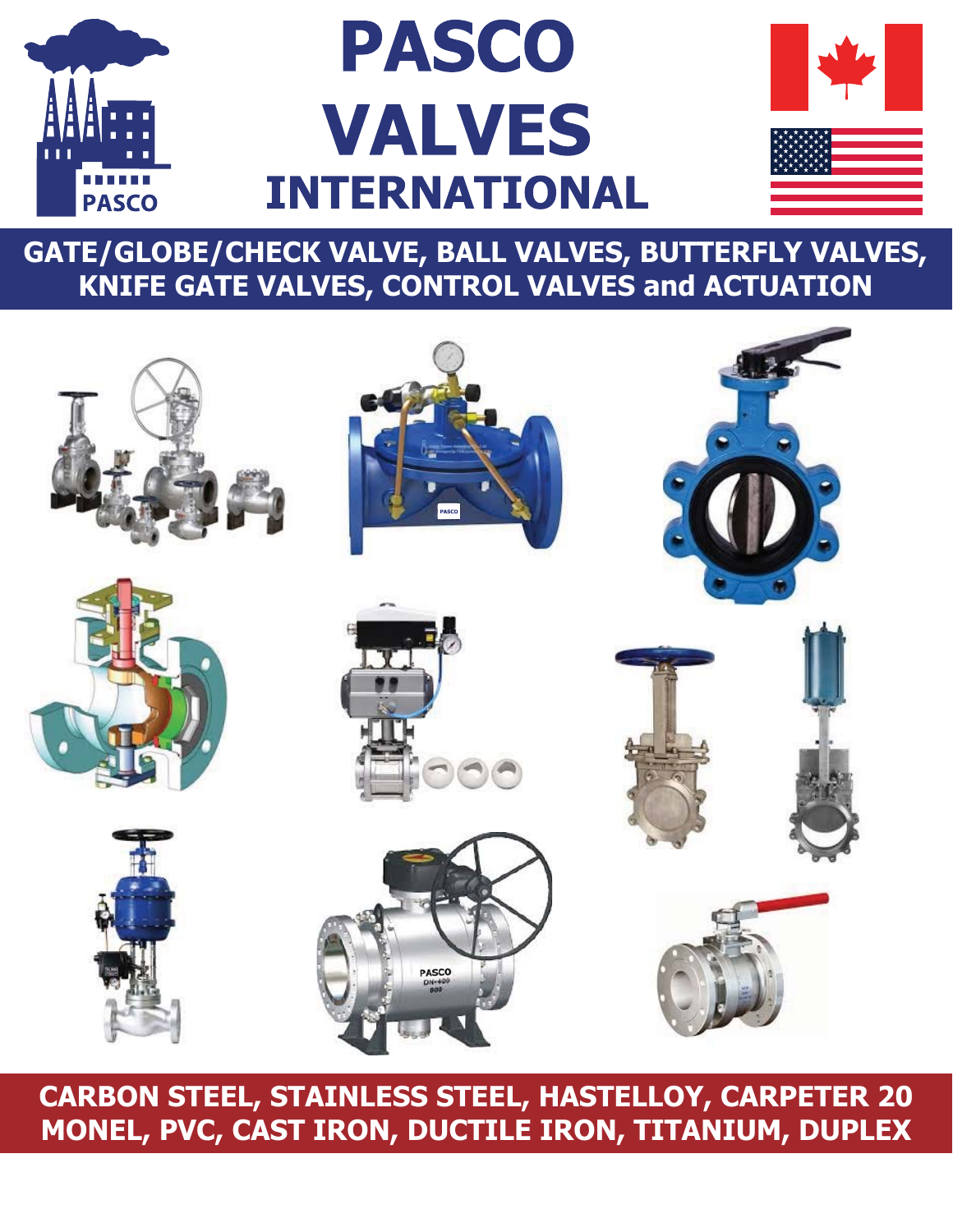

# **PASCO VALVES INTERNATIONAL**



**GATE/GLOBE/CHECK VALVE, BALL VALVES, BUTTERFLY VALVES, KNIFE GATE VALVES, CONTROL VALVES and ACTUATION**



## **CARBON STEEL, STAINLESS STEEL, HASTELLOY, CARPETER 20 MONEL, PVC, CAST IRON, DUCTILE IRON, TITANIUM, DUPLEX**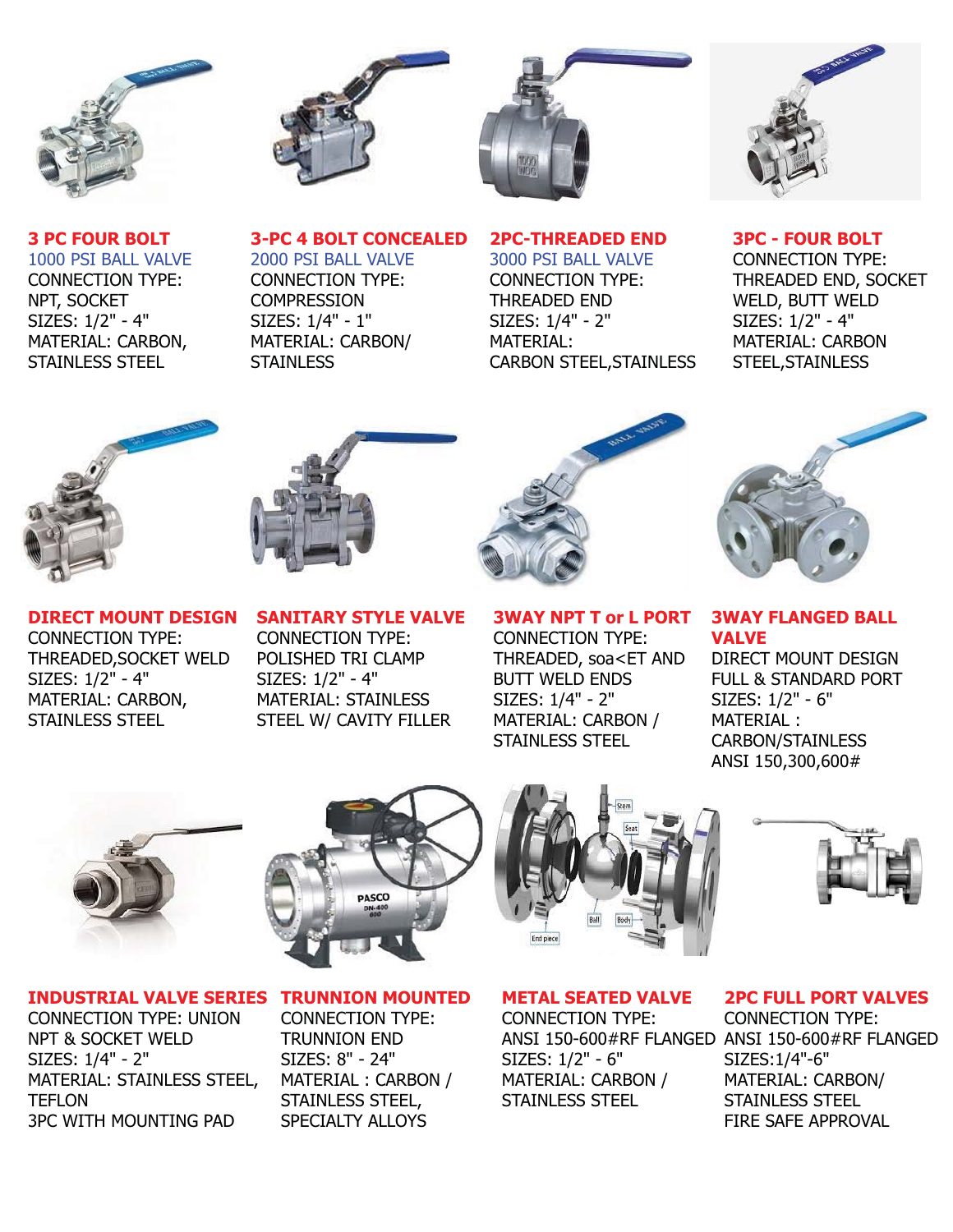

**3 PC FOUR BOLT** 1000 PSI BALL VALVE CONNECTION TYPE:

NPT, SOCKET SIZES: 1/2" - 4" MATERIAL: CARBON, STAINLESS STEEL



**3-PC 4 BOLT CONCEALED**

2000 PSI BALL VALVE CONNECTION TYPE: **COMPRESSION** SIZES: 1/4" - 1" MATERIAL: CARBON/

**STAINLESS** 



**2PC-THREADED END** 3000 PSI BALL VALVE CONNECTION TYPE: THREADED END SIZES: 1/4" - 2" MATERIAL:

CARBON STEEL,STAINLESS



**3PC - FOUR BOLT** CONNECTION TYPE: THREADED END, SOCKET WELD, BUTT WELD SIZES: 1/2" - 4" MATERIAL: CARBON STEEL,STAINLESS





**DIRECT MOUNT DESIGN** CONNECTION TYPE: THREADED,SOCKET WELD SIZES: 1/2" - 4" MATERIAL: CARBON, STAINLESS STEEL

**SANITARY STYLE VALVE** CONNECTION TYPE: POLISHED TRI CLAMP SIZES: 1/2" - 4" MATERIAL: STAINLESS STEEL W/ CAVITY FILLER



**3WAY NPT T or L PORT** CONNECTION TYPE: THREADED, soa<ET AND BUTT WELD ENDS SIZES: 1/4" - 2" MATERIAL: CARBON / STAINLESS STEEL



**3WAY FLANGED BALL VALVE** DIRECT MOUNT DESIGN

FULL & STANDARD PORT SIZES: 1/2" - 6" MATERIAL : CARBON/STAINLESS ANSI 150,300,600#



# **PASCO**

#### **INDUSTRIAL VALVE SERIES**

CONNECTION TYPE: UNION NPT & SOCKET WELD SIZES: 1/4" - 2" MATERIAL: STAINLESS STEEL, TEFLON 3PC WITH MOUNTING PAD

#### **TRUNNION MOUNTED** CONNECTION TYPE: TRUNNION END SIZES: 8" - 24" MATERIAL : CARBON / STAINLESS STEEL,

SPECIALTY ALLOYS



#### **METAL SEATED VALVE**

CONNECTION TYPE: SIZES: 1/2" - 6" MATERIAL: CARBON / STAINLESS STEEL



#### **2PC FULL PORT VALVES**

ANSI 150-600#RF FLANGED ANSI 150-600#RF FLANGED CONNECTION TYPE: SIZES:1/4"-6" MATERIAL: CARBON/ STAINLESS STEEL FIRE SAFE APPROVAL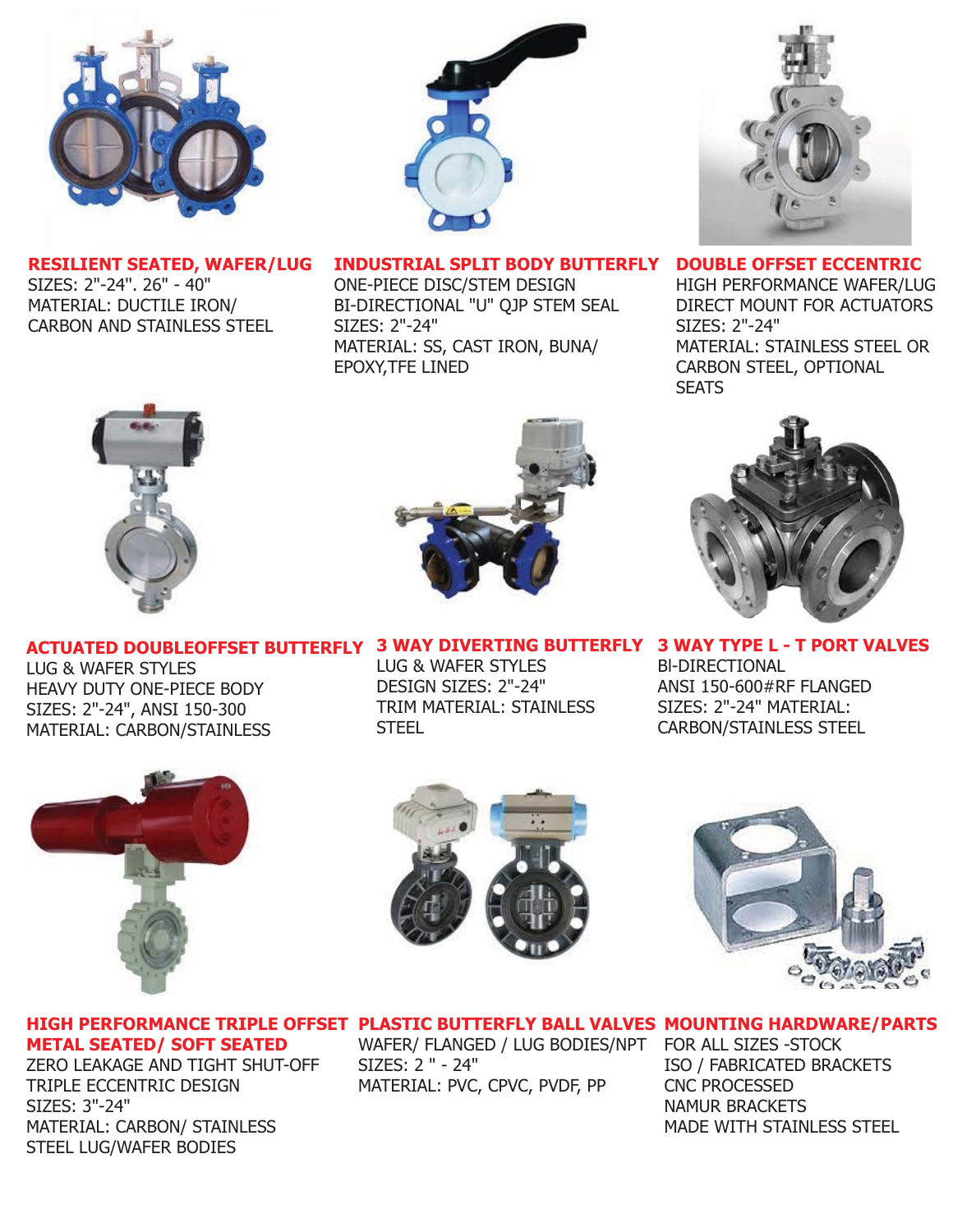

**RESILIENT SEATED, WAFER/LUG** SIZES: 2"-24''. 26" - 40" MATERIAL: DUCTILE IRON/ CARBON AND STAINLESS STEEL



**INDUSTRIAL SPLIT BODY BUTTERFLY**

ONE-PIECE DISC/STEM DESIGN BI-DIRECTIONAL "U" QJP STEM SEAL SIZES: 2"-24" MATERIAL: SS, CAST IRON, BUNA/ EPOXY,TFE LINED



**DOUBLE OFFSET ECCENTRIC**

HIGH PERFORMANCE WAFER/LUG DIRECT MOUNT FOR ACTUATORS SIZES: 2"-24" MATERIAL: STAINLESS STEEL OR CARBON STEEL, OPTIONAL **SEATS** 





**ACTUATED DOUBLEOFFSET BUTTERFLY 3 WAY DIVERTING BUTTERFLY 3 WAY TYPE L - T PORT VALVES**

LUG & WAFER STYLES HEAVY DUTY ONE-PIECE BODY SIZES: 2"-24", ANSI 150-300 MATERIAL: CARBON/STAINLESS



DESIGN SIZES: 2"-24" TRIM MATERIAL: STAINLESS **STEEL** 

Bl-DIRECTIONAL ANSI 150-600#RF FLANGED SIZES: 2"-24" MATERIAL: CARBON/STAINLESS STEEL







#### **HIGH PERFORMANCE TRIPLE OFFSET PLASTIC BUTTERFLY BALL VALVES MOUNTING HARDWARE/PARTS**

**METAL SEATED/ SOFT SEATED**

ZERO LEAKAGE AND TIGHT SHUT-OFF TRIPLE ECCENTRIC DESIGN SIZES: 3"-24" MATERIAL: CARBON/ STAINLESS STEEL LUG/WAFER BODIES

WAFER/ FLANGED / LUG BODIES/NPT SIZES: 2 " - 24" MATERIAL: PVC, CPVC, PVDF, PP

FOR ALL SIZES -STOCK ISO / FABRICATED BRACKETS CNC PROCESSED NAMUR BRACKETS MADE WITH STAINLESS STEEL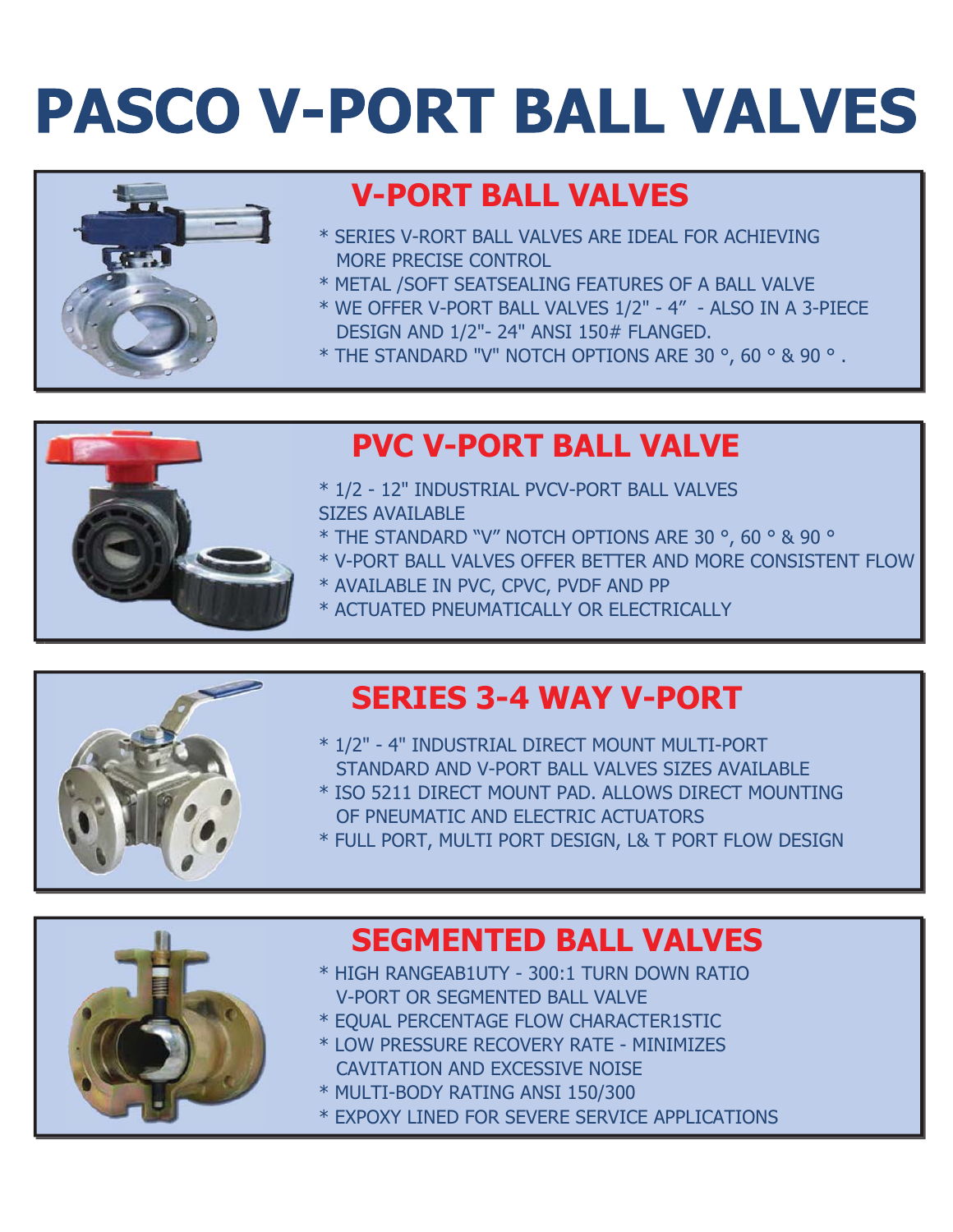# **PASCO V-PORT BALL VALVES**



## **V-PORT BALL VALVES**

- \* SERIES V-RORT BALL VALVES ARE IDEAL FOR ACHIEVING MORE PRECISE CONTROL
- \* METAL /SOFT SEATSEALING FEATURES OF A BALL VALVE
- \* WE OFFER V-PORT BALL VALVES 1/2" 4" ALSO IN A 3-PIECE DESIGN AND 1/2"- 24" ANSI 150# FLANGED.
- \* THE STANDARD "V" NOTCH OPTIONS ARE 30 °, 60 ° & 90 ° .



## **PVC V-PORT BALL VALVE**

- \* 1/2 12" INDUSTRIAL PVCV-PORT BALL VALVES SIZES AVAILABLE
- \* THE STANDARD "V" NOTCH OPTIONS ARE 30 °, 60 ° & 90 °
- \* V-PORT BALL VALVES OFFER BETTER AND MORE CONSISTENT FLOW
- \* AVAILABLE IN PVC, CPVC, PVDF AND PP
- \* ACTUATED PNEUMATICALLY OR ELECTRICALLY

## **SERIES 3-4 WAY V-PORT**

- \* 1/2" 4" INDUSTRIAL DIRECT MOUNT MULTI-PORT STANDARD AND V-PORT BALL VALVES SIZES AVAILABLE \* ISO 5211 DIRECT MOUNT PAD. ALLOWS DIRECT MOUNTING
	- OF PNEUMATIC AND ELECTRIC ACTUATORS
	- \* FULL PORT, MULTI PORT DESIGN, L& T PORT FLOW DESIGN



### **SEGMENTED BALL VALVES**

- \* HIGH RANGEAB1UTY 300:1 TURN DOWN RATIO V-PORT OR SEGMENTED BALL VALVE
- \* EQUAL PERCENTAGE FLOW CHARACTER1STIC
- \* LOW PRESSURE RECOVERY RATE MINIMIZES CAVITATION AND EXCESSIVE NOISE
- \* MULTI-BODY RATING ANSI 150/300
- \* EXPOXY LINED FOR SEVERE SERVICE APPLICATIONS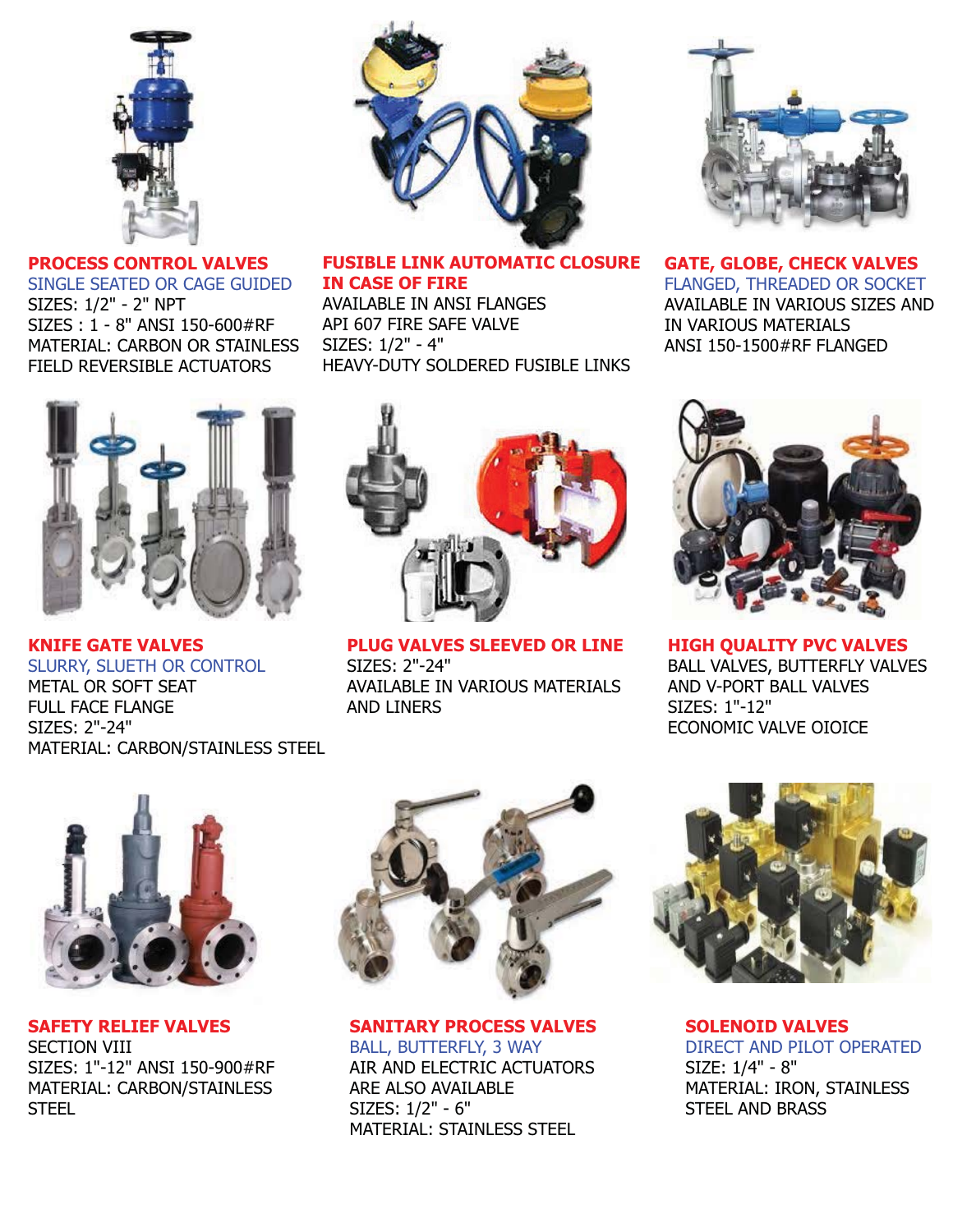

**PROCESS CONTROL VALVES** SINGLE SEATED OR CAGE GUIDED SIZES: 1/2" - 2" NPT SIZES : 1 - 8" ANSI 150-600#RF MATERIAL: CARBON OR STAINLESS FIELD REVERSIBLE ACTUATORS



**KNIFE GATE VALVES** SLURRY, SLUETH OR CONTROL METAL OR SOFT SEAT FULL FACE FLANGE SIZES: 2"-24" MATERIAL: CARBON/STAINLESS STEEL



#### **FUSIBLE LINK AUTOMATIC CLOSURE IN CASE OF FIRE**

AVAILABLE IN ANSI FLANGES API 607 FIRE SAFE VALVE SIZES: 1/2" - 4" HEAVY-DUTY SOLDERED FUSIBLE LINKS



**PLUG VALVES SLEEVED OR LINE** SIZES: 2"-24" AVAILABLE IN VARIOUS MATERIALS AND LINERS



**GATE, GLOBE, CHECK VALVES** FLANGED, THREADED OR SOCKET AVAILABLE IN VARIOUS SIZES AND IN VARIOUS MATERIALS ANSI 150-1500#RF FLANGED



**HIGH QUALITY PVC VALVES** BALL VALVES, BUTTERFLY VALVES AND V-PORT BALL VALVES SIZES: 1"-12" ECONOMIC VALVE OIOICE



**SAFETY RELIEF VALVES** SECTION VIII SIZES: 1"-12" ANSI 150-900#RF MATERIAL: CARBON/STAINLESS **STEEL** 



**SANITARY PROCESS VALVES**

BALL, BUTTERFLY, 3 WAY AIR AND ELECTRIC ACTUATORS ARE ALSO AVAILABLE SIZES: 1/2" - 6" MATERIAL: STAINLESS STEEL



**SOLENOID VALVES** DIRECT AND PILOT OPERATED SIZE: 1/4" - 8" MATERIAL: IRON, STAINLESS STEEL AND BRASS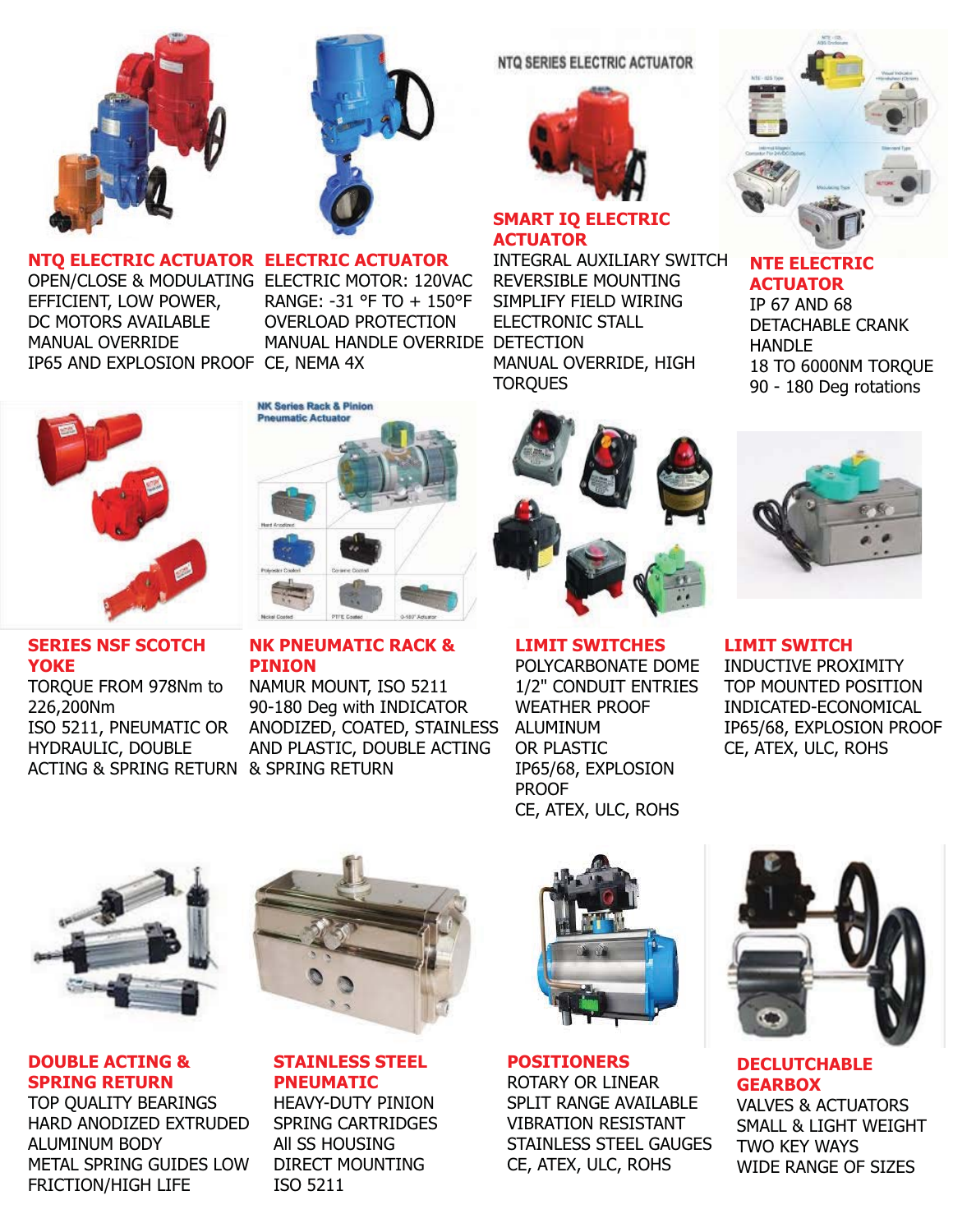



#### **NTQ ELECTRIC ACTUATOR ELECTRIC ACTUATOR**

**NK Series Rack & Pinion** Pneumatic Actuato

OPEN/CLOSE & MODULATING ELECTRIC MOTOR: 120VAC EFFICIENT, LOW POWER, DC MOTORS AVAILABLE MANUAL OVERRIDE IP65 AND EXPLOSION PROOF CE, NEMA 4X

REVERSIBLE MOUNTING SIMPLIFY FIELD WIRING MANUAL HANDLE OVERRIDE DETECTION MANUAL OVERRIDE, HIGH **TORQUES** RANGE: -31 °F TO + 150°F OVERLOAD PROTECTION



#### **SERIES NSF SCOTCH YOKE**

TORQUE FROM 978Nm to 226,200Nm ISO 5211, PNEUMATIC OR HYDRAULIC, DOUBLE ACTING & SPRING RETURN & SPRING RETURN

# **NK PNEUMATIC RACK &**

**PINION** NAMUR MOUNT, ISO 5211 90-180 Deg with INDICATOR ANODIZED, COATED, STAINLESS AND PLASTIC, DOUBLE ACTING



**SMART IQ ELECTRIC** 

**NTQ SERIES ELECTRIC ACTUATOR** 

ELECTRONIC STALL

**ACTUATOR**

**LIMIT SWITCHES** POLYCARBONATE DOME 1/2" CONDUIT ENTRIES WEATHER PROOF ALUMINUM OR PLASTIC IP65/68, EXPLOSION PROOF CE, ATEX, ULC, ROHS



#### **NTE ELECTRIC ACTUATOR**

IP 67 AND 68 DETACHABLE CRANK **HANDLE** 18 TO 6000NM TORQUE 90 - 180 Deg rotations



**LIMIT SWITCH** INDUCTIVE PROXIMITY TOP MOUNTED POSITION INDICATED-ECONOMICAL IP65/68, EXPLOSION PROOF CE, ATEX, ULC, ROHS



**DOUBLE ACTING & SPRING RETURN**

TOP QUALITY BEARINGS HARD ANODIZED EXTRUDED ALUMINUM BODY METAL SPRING GUIDES LOW FRICTION/HIGH LIFE



#### **STAINLESS STEEL PNEUMATIC**

HEAVY-DUTY PINION SPRING CARTRIDGES All SS HOUSING DIRECT MOUNTING ISO 5211



**POSITIONERS** ROTARY OR LINEAR SPLIT RANGE AVAILABLE VIBRATION RESISTANT STAINLESS STEEL GAUGES CE, ATEX, ULC, ROHS



**DECLUTCHABLE GEARBOX** VALVES & ACTUATORS SMALL & LIGHT WEIGHT TWO KEY WAYS WIDE RANGE OF SIZES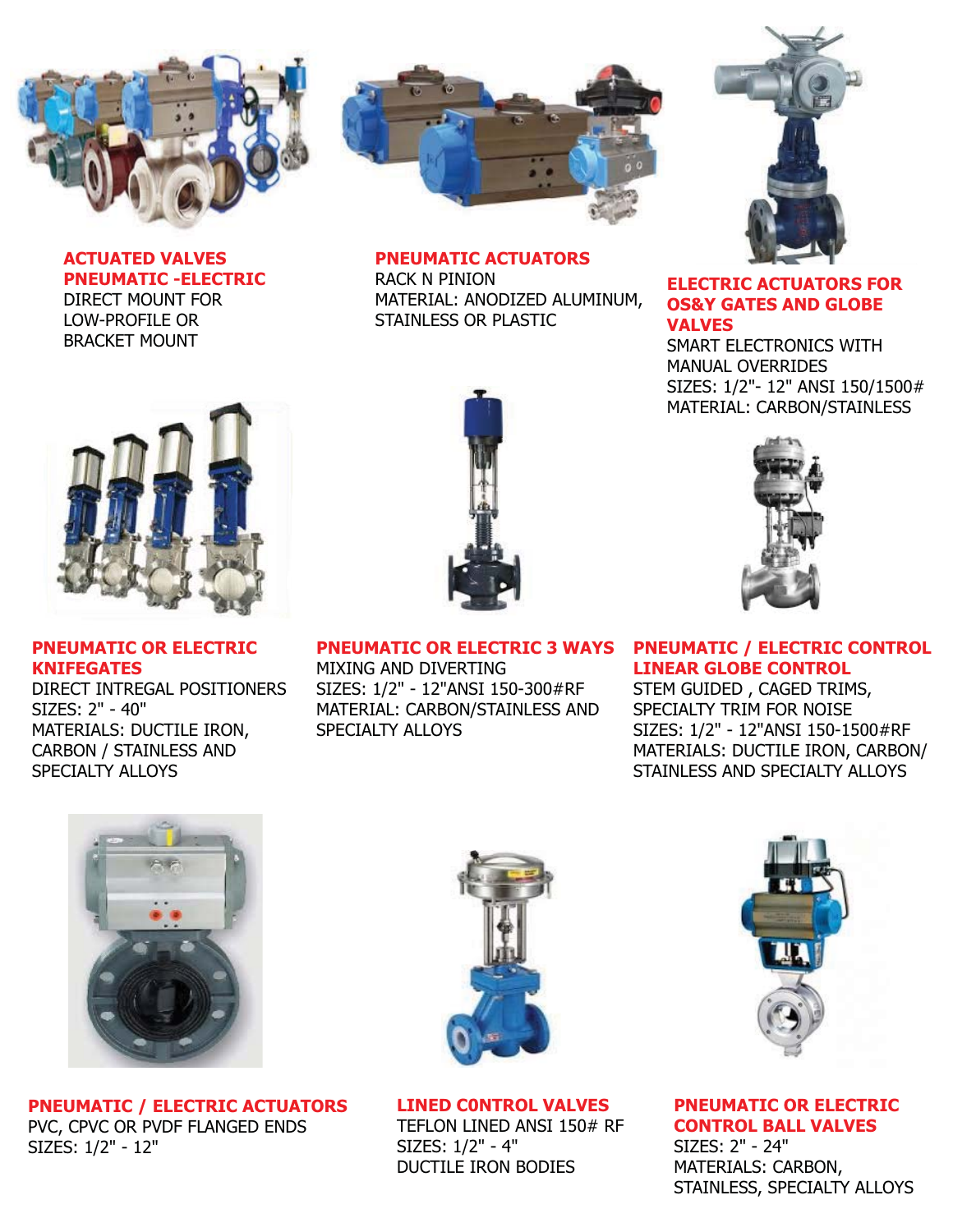

**ACTUATED VALVES PNEUMATIC -ELECTRIC** DIRECT MOUNT FOR LOW-PROFILE OR BRACKET MOUNT



#### **PNEUMATIC ACTUATORS**

RACK N PINION MATERIAL: ANODIZED ALUMINUM, STAINLESS OR PLASTIC



#### **ELECTRIC ACTUATORS FOR OS&Y GATES AND GLOBE VALVES**

SMART ELECTRONICS WITH MANUAL OVERRIDES SIZES: 1/2"- 12" ANSI 150/1500# MATERIAL: CARBON/STAINLESS



**PNEUMATIC OR ELECTRIC KNIFEGATES**

DIRECT INTREGAL POSITIONERS SIZES: 2" - 40" MATERIALS: DUCTILE IRON, CARBON / STAINLESS AND SPECIALTY ALLOYS



**PNEUMATIC OR ELECTRIC 3 WAYS** MIXING AND DIVERTING SIZES: 1/2" - 12"ANSI 150-300#RF MATERIAL: CARBON/STAINLESS AND SPECIALTY ALLOYS



#### **PNEUMATIC / ELECTRIC CONTROL LINEAR GLOBE CONTROL**

STEM GUIDED , CAGED TRIMS, SPECIALTY TRIM FOR NOISE SIZES: 1/2" - 12"ANSI 150-1500#RF MATERIALS: DUCTILE IRON, CARBON/ STAINLESS AND SPECIALTY ALLOYS



**PNEUMATIC / ELECTRIC ACTUATORS** PVC, CPVC OR PVDF FLANGED ENDS SIZES: 1/2" - 12"



**LINED C0NTROL VALVES**

TEFLON LINED ANSI 150# RF SIZES: 1/2" - 4" DUCTILE IRON BODIES



**PNEUMATIC OR ELECTRIC CONTROL BALL VALVES** SIZES: 2" - 24" MATERIALS: CARBON, STAINLESS, SPECIALTY ALLOYS